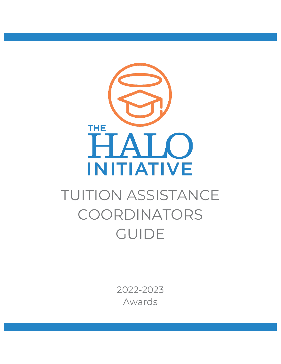

# TUITION ASSISTANCE COORDINATORS GUIDE

2022-2023 Awards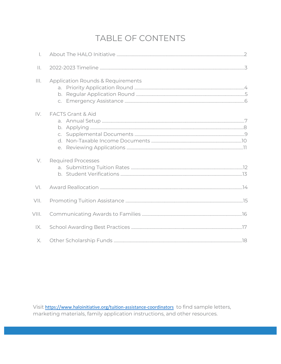# TABLE OF CONTENTS

| $\overline{a}$ . |                                              |  |
|------------------|----------------------------------------------|--|
| $\prod$          |                                              |  |
|                  | <b>Application Rounds &amp; Requirements</b> |  |
| IV.              | <b>FACTS Grant &amp; Aid</b>                 |  |
| V.               | <b>Required Processes</b>                    |  |
| V <sub>1</sub>   |                                              |  |
| $V\parallel$ .   |                                              |  |
| VIII.            |                                              |  |
| IX.              |                                              |  |
| Х.               |                                              |  |

Visit <https://www.haloinitiative.org/tuition-assistance-coordinators> to find sample letters, marketing materials, family application instructions, and other resources.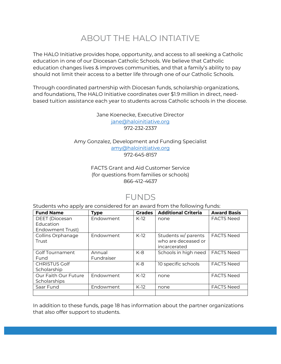# ABOUT THE HALO INTIATIVE

The HALO Initiative provides hope, opportunity, and access to all seeking a Catholic education in one of our Diocesan Catholic Schools. We believe that Catholic education changes lives & improves communities, and that a family's ability to pay should not limit their access to a better life through one of our Catholic Schools.

Through coordinated partnership with Diocesan funds, scholarship organizations, and foundations, The HALO Initiative coordinates over \$1.9 million in direct, needbased tuition assistance each year to students across Catholic schools in the diocese.

> Jane Koenecke, Executive Director [jane@haloinitiative.org](mailto:jane@haloinitiative.org) 972-232-2337

Amy Gonzalez, Development and Funding Specialist [amy@haloinitiative.org](mailto:amy@haloinitiative.org) 972-645-8157

#### FACTS Grant and Aid Customer Service (for questions from families or schools) 866-412-4637

### FUNDS

Students who apply are considered for an award from the following funds:

| <b>Fund Name</b>       | <b>Type</b> | <b>Grades</b> | <b>Additional Criteria</b> | <b>Award Basis</b> |
|------------------------|-------------|---------------|----------------------------|--------------------|
| <b>DEET</b> (Diocesan  | Endowment   | $K-12$        | none                       | <b>FACTS Need</b>  |
| Education              |             |               |                            |                    |
| Endowment Trust)       |             |               |                            |                    |
| Collins Orphanage      | Endowment   | $K-12$        | Students w/ parents        | <b>FACTS Need</b>  |
| Trust                  |             |               | who are deceased or        |                    |
|                        |             |               | incarcerated               |                    |
| <b>Golf Tournament</b> | Annual      | K-8           | Schools in high need       | <b>FACTS Need</b>  |
| Fund                   | Fundraiser  |               |                            |                    |
| <b>CHRISTUS Golf</b>   |             | $K-8$         | 10 specific schools        | <b>FACTS Need</b>  |
| Scholarship            |             |               |                            |                    |
| Our Faith Our Future   | Endowment   | $K-12$        | none                       | <b>FACTS Need</b>  |
| Scholarships           |             |               |                            |                    |
| Saar Fund              | Endowment   | $K-12$        | none                       | <b>FACTS Need</b>  |
|                        |             |               |                            |                    |

In addition to these funds, page 18 has information about the partner organizations that also offer support to students.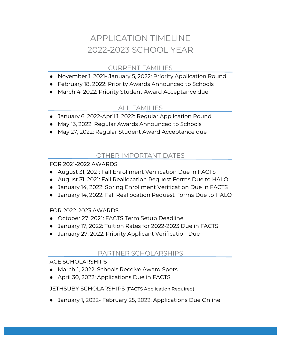# APPLICATION TIMELINE 2022-2023 SCHOOL YEAR

### CURRENT FAMILIES

- November 1, 2021- January 5, 2022: Priority Application Round
- February 18, 2022: Priority Awards Announced to Schools
- March 4, 2022: Priority Student Award Acceptance due

### ALL FAMILIES

- January 6, 2022-April 1, 2022: Regular Application Round
- May 13, 2022: Regular Awards Announced to Schools
- May 27, 2022: Regular Student Award Acceptance due

### OTHER IMPORTANT DATES

FOR 2021-2022 AWARDS

- August 31, 2021: Fall Enrollment Verification Due in FACTS
- August 31, 2021: Fall Reallocation Request Forms Due to HALO
- January 14, 2022: Spring Enrollment Verification Due in FACTS
- January 14, 2022: Fall Reallocation Request Forms Due to HALO

#### FOR 2022-2023 AWARDS

- October 27, 2021: FACTS Term Setup Deadline
- January 17, 2022: Tuition Rates for 2022-2023 Due in FACTS
- January 27, 2022: Priority Applicant Verification Due

### PARTNER SCHOLARSHIPS

#### ACE SCHOLARSHIPS

- March 1, 2022: Schools Receive Award Spots
- April 30, 2022: Applications Due in FACTS

#### JETHSUBY SCHOLARSHIPS (FACTS Application Required)

● January 1, 2022- February 25, 2022: Applications Due Online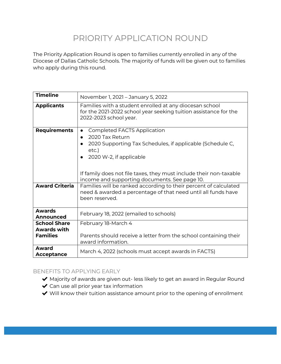### PRIORITY APPLICATION ROUND

The Priority Application Round is open to families currently enrolled in any of the Diocese of Dallas Catholic Schools. The majority of funds will be given out to families who apply during this round.

| <b>Timeline</b>                                              | November 1, 2021 - January 5, 2022                                                                                                                                                                                                                                                            |
|--------------------------------------------------------------|-----------------------------------------------------------------------------------------------------------------------------------------------------------------------------------------------------------------------------------------------------------------------------------------------|
| <b>Applicants</b>                                            | Families with a student enrolled at any diocesan school<br>for the 2021-2022 school year seeking tuition assistance for the<br>2022-2023 school year.                                                                                                                                         |
| <b>Requirements</b>                                          | <b>Completed FACTS Application</b><br>$\bullet$<br>2020 Tax Return<br>2020 Supporting Tax Schedules, if applicable (Schedule C,<br>$etc.$ )<br>2020 W-2, if applicable<br>If family does not file taxes, they must include their non-taxable<br>income and supporting documents. See page 10. |
| <b>Award Criteria</b>                                        | Families will be ranked according to their percent of calculated<br>need & awarded a percentage of that need until all funds have<br>been reserved.                                                                                                                                           |
| <b>Awards</b><br>Announced                                   | February 18, 2022 (emailed to schools)                                                                                                                                                                                                                                                        |
| <b>School Share</b><br><b>Awards with</b><br><b>Families</b> | February 18-March 4<br>Parents should receive a letter from the school containing their<br>award information.                                                                                                                                                                                 |
| Award<br>Acceptance                                          | March 4, 2022 (schools must accept awards in FACTS)                                                                                                                                                                                                                                           |

#### BENEFITS TO APPLYING EARLY

- ◆ Majority of awards are given out- less likely to get an award in Regular Round
- $\triangleleft$  Can use all prior year tax information
- ◆ Will know their tuition assistance amount prior to the opening of enrollment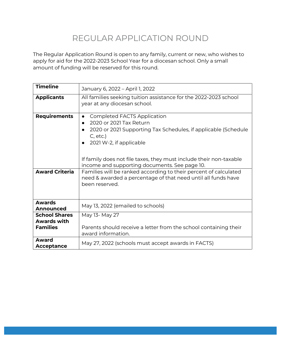### REGULAR APPLICATION ROUND

The Regular Application Round is open to any family, current or new, who wishes to apply for aid for the 2022-2023 School Year for a diocesan school. Only a small amount of funding will be reserved for this round.

| <b>Timeline</b>                                               | January 6, 2022 - April 1, 2022                                                                                                                                                                                                                                                                                                                                                   |  |  |  |  |  |
|---------------------------------------------------------------|-----------------------------------------------------------------------------------------------------------------------------------------------------------------------------------------------------------------------------------------------------------------------------------------------------------------------------------------------------------------------------------|--|--|--|--|--|
| <b>Applicants</b>                                             | All families seeking tuition assistance for the 2022-2023 school<br>year at any diocesan school.                                                                                                                                                                                                                                                                                  |  |  |  |  |  |
| <b>Requirements</b><br><b>Award Criteria</b>                  | <b>Completed FACTS Application</b><br>$\bullet$<br>2020 or 2021 Tax Return<br>2020 or 2021 Supporting Tax Schedules, if applicable (Schedule<br>$C$ , etc.)<br>2021 W-2, if applicable<br>If family does not file taxes, they must include their non-taxable<br>income and supporting documents. See page 10.<br>Families will be ranked according to their percent of calculated |  |  |  |  |  |
|                                                               | need & awarded a percentage of that need until all funds have<br>been reserved.                                                                                                                                                                                                                                                                                                   |  |  |  |  |  |
| <b>Awards</b><br>Announced                                    | May 13, 2022 (emailed to schools)                                                                                                                                                                                                                                                                                                                                                 |  |  |  |  |  |
| <b>School Shares</b><br><b>Awards with</b><br><b>Families</b> | May 13- May 27<br>Parents should receive a letter from the school containing their<br>award information.                                                                                                                                                                                                                                                                          |  |  |  |  |  |
| Award<br>Acceptance                                           | May 27, 2022 (schools must accept awards in FACTS)                                                                                                                                                                                                                                                                                                                                |  |  |  |  |  |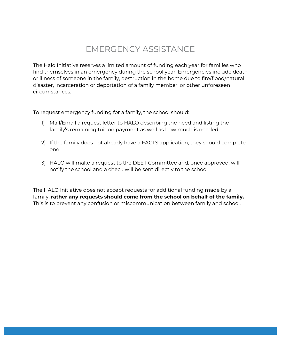### EMERGENCY ASSISTANCE

The Halo Initiative reserves a limited amount of funding each year for families who find themselves in an emergency during the school year. Emergencies include death or illness of someone in the family, destruction in the home due to fire/flood/natural disaster, incarceration or deportation of a family member, or other unforeseen circumstances.

To request emergency funding for a family, the school should:

- 1) Mail/Email a request letter to HALO describing the need and listing the family's remaining tuition payment as well as how much is needed
- 2) If the family does not already have a FACTS application, they should complete one
- 3) HALO will make a request to the DEET Committee and, once approved, will notify the school and a check will be sent directly to the school

The HALO Initiative does not accept requests for additional funding made by a family, **rather any requests should come from the school on behalf of the family.** This is to prevent any confusion or miscommunication between family and school.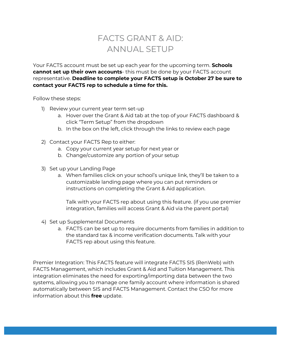### FACTS GRANT & AID: ANNUAL SETUP

Your FACTS account must be set up each year for the upcoming term. **Schools cannot set up their own accounts**- this must be done by your FACTS account representative. **Deadline to complete your FACTS setup is October 27 be sure to contact your FACTS rep to schedule a time for this.**

Follow these steps:

- 1) Review your current year term set-up
	- a. Hover over the Grant & Aid tab at the top of your FACTS dashboard & click "Term Setup" from the dropdown
	- b. In the box on the left, click through the links to review each page
- 2) Contact your FACTS Rep to either:
	- a. Copy your current year setup for next year or
	- b. Change/customize any portion of your setup
- 3) Set up your Landing Page
	- a. When families click on your school's unique link, they'll be taken to a customizable landing page where you can put reminders or instructions on completing the Grant & Aid application.

Talk with your FACTS rep about using this feature. (if you use premier integration, families will access Grant & Aid via the parent portal)

- 4) Set up Supplemental Documents
	- a. FACTS can be set up to require documents from families in addition to the standard tax & income verification documents. Talk with your FACTS rep about using this feature.

Premier Integration: This FACTS feature will integrate FACTS SIS (RenWeb) with FACTS Management, which includes Grant & Aid and Tuition Management. This integration eliminates the need for exporting/importing data between the two systems, allowing you to manage one family account where information is shared automatically between SIS and FACTS Management. Contact the CSO for more information about this **free** update.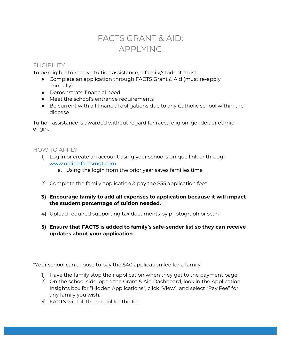### FACTS GRANT & AID: APPLYING

#### **ELIGIBILITY**

To be eligible to receive tuition assistance, a family/student must:

- Complete an application through FACTS Grant & Aid (must re-apply annually)
- Demonstrate financial need
- Meet the school's entrance requirements
- Be current with all financial obligations due to any Catholic school within the diocese

Tuition assistance is awarded without regard for race, religion, gender, or ethnic origin.

#### HOW TO APPLY

- 1) Log in or create an account using your school's unique link or through [www.online.factsmgt.com](http://www.online.factsmgt.com/)
	- a. Using the login from the prior year saves families time
- 2) Complete the family application & pay the \$35 application fee\*
- **3) Encourage family to add all expenses to application because it will impact the student percentage of tuition needed.**
- 4) Upload required supporting tax documents by photograph or scan
- **5) Ensure that FACTS is added to family's safe-sender list so they can receive updates about your application**

\*Your school can choose to pay the \$40 application fee for a family:

- 1) Have the family stop their application when they get to the payment page
- 2) On the school side, open the Grant & Aid Dashboard, look in the Application Insights box for "Hidden Applications", click "View", and select "Pay Fee" for any family you wish.
- 3) FACTS will bill the school for the fee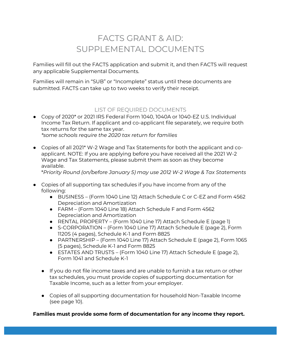### FACTS GRANT & AID: SUPPLEMENTAL DOCUMENTS

Families will fill out the FACTS application and submit it, and then FACTS will request any applicable Supplemental Documents.

Families will remain in "SUB" or "Incomplete" status until these documents are submitted. FACTS can take up to two weeks to verify their receipt.

### LIST OF REQUIRED DOCUMENTS

- Copy of 2020\* or 2021 IRS Federal Form 1040, 1040A or 1040-EZ U.S. Individual Income Tax Return. If applicant and co-applicant file separately, we require both tax returns for the same tax year. *\*some schools require the 2020 tax return for families*
- Copies of all 2021<sup>\*</sup> W-2 Wage and Tax Statements for both the applicant and coapplicant. NOTE: If you are applying before you have received all the 2021 W-2
	- Wage and Tax Statements, please submit them as soon as they become available.

\**Priority Round (on/before January 5) may use 2012 W-2 Wage & Tax Statements* 

- Copies of all supporting tax schedules if you have income from any of the following:
	- BUSINESS (Form 1040 Line 12) Attach Schedule C or C-EZ and Form 4562 Depreciation and Amortization
	- FARM (Form 1040 Line 18) Attach Schedule F and Form 4562 Depreciation and Amortization
	- RENTAL PROPERTY (Form 1040 Line 17) Attach Schedule E (page 1)
	- S-CORPORATION (Form 1040 Line 17) Attach Schedule E (page 2), Form 1120S (4 pages), Schedule K-1 and Form 8825
	- PARTNERSHIP (Form 1040 Line 17) Attach Schedule E (page 2), Form 1065 (5 pages), Schedule K-1 and Form 8825
	- ESTATES AND TRUSTS (Form 1040 Line 17) Attach Schedule E (page 2), Form 1041 and Schedule K-1
	- If you do not file income taxes and are unable to furnish a tax return or other tax schedules, you must provide copies of supporting documentation for Taxable Income, such as a letter from your employer.
	- Copies of all supporting documentation for household Non-Taxable Income (see page 10).

**Families must provide some form of documentation for any income they report.**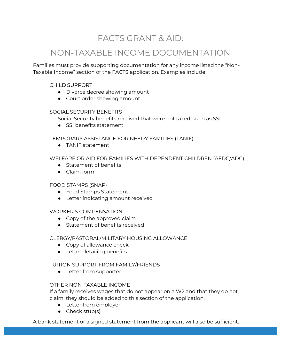### FACTS GRANT & AID:

### NON-TAXABLE INCOME DOCUMENTATION

Families must provide supporting documentation for any income listed the "Non-Taxable Income" section of the FACTS application. Examples include:

#### CHILD SUPPORT

- Divorce decree showing amount
- Court order showing amount

#### SOCIAL SECURITY BENEFITS

Social Security benefits received that were not taxed, such as SSI

● SSI benefits statement

#### TEMPORARY ASSISTANCE FOR NEEDY FAMILIES (TANIF)

● TANIF statement

#### WELFARE OR AID FOR FAMILIES WITH DEPENDENT CHILDREN (AFDC/ADC)

- Statement of benefits
- Claim form

#### FOOD STAMPS (SNAP)

- Food Stamps Statement
- Letter indicating amount received

#### WORKER'S COMPENSATION

- Copy of the approved claim
- Statement of benefits received

#### CLERGY/PASTORAL/MILITARY HOUSING ALLOWANCE

- Copy of allowance check
- Letter detailing benefits

#### TUITION SUPPORT FROM FAMILY/FRIENDS

• Letter from supporter

#### OTHER NON-TAXABLE INCOME

If a family receives wages that do not appear on a W2 and that they do not claim, they should be added to this section of the application.

- Letter from employer
- Check stub(s)

A bank statement or a signed statement from the applicant will also be sufficient.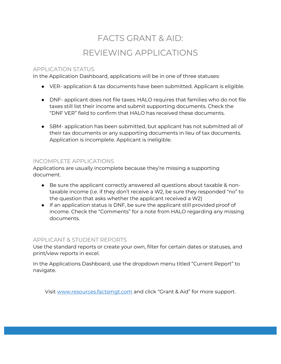# FACTS GRANT & AID: REVIEWING APPLICATIONS

#### APPLICATION STATUS

In the Application Dashboard, applications will be in one of three statuses:

- VER- application & tax documents have been submitted. Applicant is eligible.
- DNF- applicant does not file taxes. HALO requires that families who do not file taxes still list their income and submit supporting documents. Check the "DNF VER" field to confirm that HALO has received these documents.
- SBM- application has been submitted, but applicant has not submitted all of their tax documents or any supporting documents in lieu of tax documents. Application is incomplete. Applicant is ineligible.

#### INCOMPLETE APPLICATIONS

Applications are usually incomplete because they're missing a supporting document.

- Be sure the applicant correctly answered all questions about taxable & nontaxable income (i.e. if they don't receive a W2, be sure they responded "no" to the question that asks whether the applicant received a W2)
- If an application status is DNF, be sure the applicant still provided proof of income. Check the "Comments" for a note from HALO regarding any missing documents.

#### APPLICANT & STUDENT REPORTS

Use the standard reports or create your own, filter for certain dates or statuses, and print/view reports in excel.

In the Applications Dashboard, use the dropdown menu titled "Current Report" to navigate.

Visit [www.resources.factsmgt.com](http://www.resources.factsmgt.com/) and click "Grant & Aid" for more support.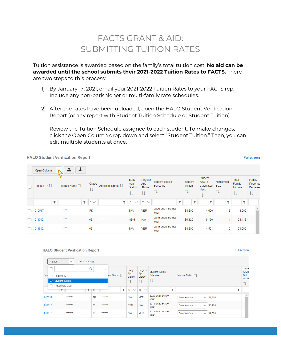### FACTS GRANT & AID: SUBMITTING TUITION RATES

Tuition assistance is awarded based on the family's total tuition cost. **No aid can be awarded until the school submits their 2021-2022 Tuition Rates to FACTS.** There are two steps to this process:

- 1) By January 17, 2021, email your 2021-2022 Tuition Rates to your FACTS rep. Include any non-parishioner or multi-family rate schedules.
- 2) After the rates have been uploaded, open the HALO Student Verification Report (or any report with Student Tuition Schedule or Student Tuition).

Review the Tuition Schedule assigned to each student. To make changes, click the Open Column drop down and select "Student Tuition." Then, you can edit multiple students at once.

#### **HALO Student Verification Report**

```
Fullscreen
```

|   | Open Column  | 圡<br>1         |                        |                  |                                     |                                       |                                           |                           |   |                                                     |                                |                                                           |                                      |
|---|--------------|----------------|------------------------|------------------|-------------------------------------|---------------------------------------|-------------------------------------------|---------------------------|---|-----------------------------------------------------|--------------------------------|-----------------------------------------------------------|--------------------------------------|
|   | Student ID 1 | Student Name 1 | Grade<br>11            | Applicant Name 1 | Early<br>App<br><b>Status</b><br>TI | Regular<br>App<br><b>Status</b><br>1I | <b>Student Tuition</b><br>Schedule<br>TI. | Student<br>Tuition<br>TJ. |   | Student<br><b>FACTS</b><br>Calculated<br>Need<br>TI | Household<br><b>Size</b><br>тт | <b>Total</b><br>Family<br>Income<br>$\uparrow \downarrow$ | Family<br>Reported<br>Decrease<br>1I |
|   | ۲            | ۳              | $\mathsf{C}\mathsf{V}$ | $\mathbf{r}$     | $C_{\cdot}$ $\vee$                  | $C.$ $\vee$                           | τ                                         |                           | ۳ | ▼                                                   | ۲                              | ▼                                                         |                                      |
| n | 010517       | *******        | <b>PK</b>              | *******          | N/A                                 | <b>VER</b>                            | 2020-2021 School<br>Year                  | \$4,600                   |   | 4,600                                               | 3                              | 14,500                                                    |                                      |
|   | 011012       | *******        | 03                     | *******          | <b>SBM</b>                          | N/A                                   | 2019-2020 School<br>Year                  | \$6,120                   |   | 6,120                                               | $\overline{4}$                 | 24,416                                                    |                                      |
|   | 011812       | *******        | 03                     | *******          | N/A                                 | <b>VER</b>                            | 2019-2020 School<br>Year                  | \$4,600                   |   | 4,551                                               | 5                              | 29,000                                                    |                                      |

#### **HALO Student Verification Report**

|        | 1 open                               | <b>Stop Editing</b><br>$\checkmark$ |           |                                |                      |                      |                          |                                       |                      |
|--------|--------------------------------------|-------------------------------------|-----------|--------------------------------|----------------------|----------------------|--------------------------|---------------------------------------|----------------------|
|        |                                      |                                     |           | $\times$                       | Early                | Regular              | <b>Student Tuition</b>   |                                       | Stude<br><b>FACT</b> |
| Stu    | ┐<br>Student ID                      |                                     |           | ant Name $\uparrow \downarrow$ | App<br><b>Status</b> | App<br><b>Status</b> | Schedule                 | Student Tuition TL                    | Calcu<br>Need        |
|        | $\sqrt{\phantom{a}}$ Student Tuition |                                     |           |                                | îl                   | 1l                   | 1I                       |                                       | TI.                  |
|        | Household Size<br>Π                  |                                     |           |                                |                      |                      | $\overline{\phantom{0}}$ | $\overline{\phantom{a}}$              |                      |
|        |                                      |                                     | TICV      | τ.                             | $C_{\cdot}$ $\vee$   | $C_{\cdot}$ $\vee$   |                          |                                       |                      |
| 010517 |                                      | *******                             | <b>PK</b> | *******                        | N/A                  | <b>VER</b>           | 2020-2021 School<br>Year | $\vee$ \$4,600<br><b>Enter Amount</b> |                      |
|        | 011012                               | *******                             | 03        | *******                        | <b>SBM</b>           | N/A                  | 2019-2020 School<br>Year | $\vee$ \$6,120<br><b>Enter Amount</b> |                      |
| 011812 |                                      | *******                             | 03        | *******                        | N/A                  | <b>VER</b>           | 2019-2020 School<br>Year | $\vee$ \$4,600<br><b>Enter Amount</b> |                      |

#### **Fullscreen**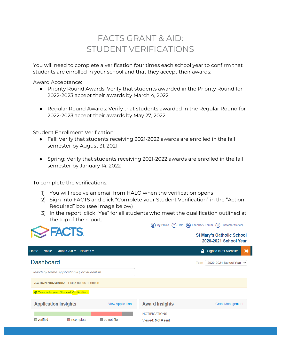### FACTS GRANT & AID: STUDENT VERIFICATIONS

You will need to complete a verification four times each school year to confirm that students are enrolled in your school and that they accept their awards:

Award Acceptance:

- Priority Round Awards: Verify that students awarded in the Priority Round for 2022-2023 accept their awards by March 4, 2022
- Regular Round Awards: Verify that students awarded in the Regular Round for 2022-2023 accept their awards by May 27, 2022

Student Enrollment Verification:

- Fall: Verify that students receiving 2021-2022 awards are enrolled in the fall semester by August 31, 2021
- Spring: Verify that students receiving 2021-2022 awards are enrolled in the fall semester by January 14, 2022

To complete the verifications:

- 1) You will receive an email from HALO when the verification opens
- 2) Sign into FACTS and click "Complete your Student Verification" in the "Action Required" box (see image below)
- 3) In the report, click "Yes" for all students who meet the qualification outlined at the top of the report.



(2) My Profile (?) Help (2) Feedback Forum (i) Customer Service

**St Mary's Catholic School** 2020-2021 School Year

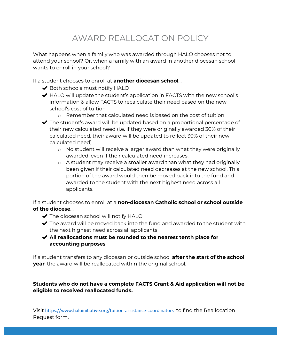# AWARD REALLOCATION POLICY

What happens when a family who was awarded through HALO chooses not to attend your school? Or, when a family with an award in another diocesan school wants to enroll in your school?

If a student chooses to enroll at **another diocesan school**…

- ◆ Both schools must notify HALO
- $\blacktriangleright$  HALO will update the student's application in FACTS with the new school's information & allow FACTS to recalculate their need based on the new school's cost of tuition
	- o Remember that calculated need is based on the cost of tuition
- $\blacktriangleright$  The student's award will be updated based on a proportional percentage of their new calculated need (i.e. if they were originally awarded 30% of their calculated need, their award will be updated to reflect 30% of their new calculated need)
	- o No student will receive a larger award than what they were originally awarded, even if their calculated need increases.
	- o A student may receive a smaller award than what they had originally been given if their calculated need decreases at the new school. This portion of the award would then be moved back into the fund and awarded to the student with the next highest need across all applicants.

If a student chooses to enroll at a **non-diocesan Catholic school or school outside of the diocese**…

- $\blacktriangleright$  The diocesan school will notify HALO
- $\blacktriangleright$  The award will be moved back into the fund and awarded to the student with the next highest need across all applicants
- ✔ **All reallocations must be rounded to the nearest tenth place for accounting purposes**

If a student transfers to any diocesan or outside school **after the start of the school year**, the award will be reallocated within the original school.

#### **Students who do not have a complete FACTS Grant & Aid application will not be eligible to received reallocated funds.**

Visit <https://www.haloinitiative.org/tuition-assistance-coordinators> to find the Reallocation Request form.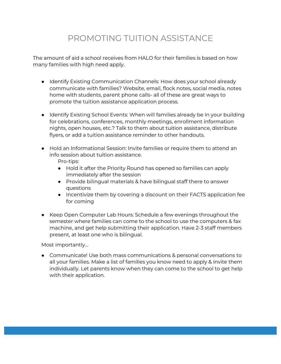# PROMOTING TUITION ASSISTANCE

The amount of aid a school receives from HALO for their families is based on how many families with high need apply.

- Identify Existing Communication Channels: How does your school already communicate with families? Website, email, flock notes, social media, notes home with students, parent phone calls- all of these are great ways to promote the tuition assistance application process.
- Identify Existing School Events: When will families already be in your building for celebrations, conferences, monthly meetings, enrollment information nights, open houses, etc.? Talk to them about tuition assistance, distribute flyers, or add a tuition assistance reminder to other handouts.
- Hold an Informational Session: Invite families or require them to attend an info session about tuition assistance.

Pro-tips:

- Hold it after the Priority Round has opened so families can apply immediately after the session
- Provide bilingual materials & have bilingual staff there to answer questions
- Incentivize them by covering a discount on their FACTS application fee for coming
- Keep Open Computer Lab Hours: Schedule a few evenings throughout the semester where families can come to the school to use the computers & fax machine, and get help submitting their application. Have 2-3 staff members present, at least one who is bilingual.

Most importantly…

● Communicate! Use both mass communications & personal conversations to all your families. Make a list of families you know need to apply & invite them individually. Let parents know when they can come to the school to get help with their application.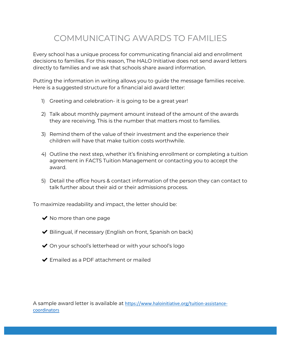### COMMUNICATING AWARDS TO FAMILIES

Every school has a unique process for communicating financial aid and enrollment decisions to families. For this reason, The HALO Initiative does not send award letters directly to families and we ask that schools share award information.

Putting the information in writing allows you to guide the message families receive. Here is a suggested structure for a financial aid award letter:

- 1) Greeting and celebration- it is going to be a great year!
- 2) Talk about monthly payment amount instead of the amount of the awards they are receiving. This is the number that matters most to families.
- 3) Remind them of the value of their investment and the experience their children will have that make tuition costs worthwhile.
- 4) Outline the next step, whether it's finishing enrollment or completing a tuition agreement in FACTS Tuition Management or contacting you to accept the award.
- 5) Detail the office hours & contact information of the person they can contact to talk further about their aid or their admissions process.

To maximize readability and impact, the letter should be:

- $\blacktriangleright$  No more than one page
- $\blacktriangleright$  Bilingual, if necessary (English on front, Spanish on back)
- ◆ On your school's letterhead or with your school's logo
- $\blacktriangleright$  Emailed as a PDF attachment or mailed

A sample award letter is available at [https://www.haloinitiative.org/tuition-assistance](https://www.haloinitiative.org/tuition-assistance-coordinators)[coordinators](https://www.haloinitiative.org/tuition-assistance-coordinators)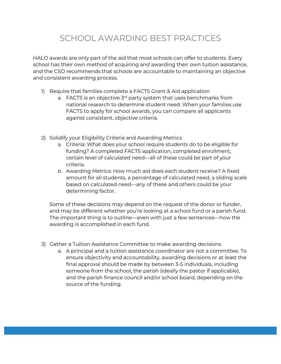# SCHOOL AWARDING BEST PRACTICES

HALO awards are only part of the aid that most schools can offer to students. Every school has their own method of acquiring and awarding their own tuition assistance, and the CSO recommends that schools are accountable to maintaining an objective and consistent awarding process.

- 1) Require that families complete a FACTS Grant & Aid application
	- a. FACTS is an objective  $3<sup>rd</sup>$  party system that uses benchmarks from national research to determine student need. When your families use FACTS to apply for school awards, you can compare all applicants against consistent, objective criteria.
- 2) Solidify your Eligibility Criteria and Awarding Metrics
	- a. Criteria: What does your school require students do to be eligible for funding? A completed FACTS application, completed enrollment, certain level of calculated need—all of these could be part of your criteria.
	- b. Awarding Metrics: How much aid does each student receive? A fixed amount for all students, a percentage of calculated need, a sliding scale based on calculated need—any of these and others could be your determining factor.

Some of these decisions may depend on the request of the donor or funder, and may be different whether you're looking at a school fund or a parish fund. The important thing is to outline—even with just a few sentences—how the awarding is accomplished in each fund.

- 3) Gather a Tuition Assistance Committee to make awarding decisions
	- a. A principal and a tuition assistance coordinator are not a committee. To ensure objectivity and accountability, awarding decisions or at least the final approval should be made by between 3-5 individuals, including someone from the school, the parish (ideally the pastor if applicable), and the parish finance council and/or school board, depending on the source of the funding.